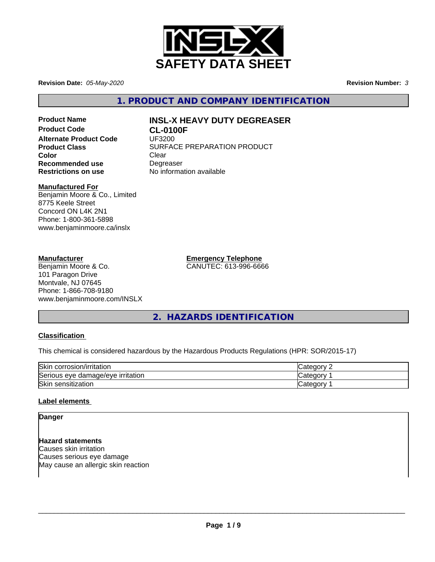

**Revision Date:** *05-May-2020* **Revision Number:** *3*

**1. PRODUCT AND COMPANY IDENTIFICATION**

**Product Code CL-0100F Alternate Product Code** UF3200 **Color** Clear Clear **Recommended use** Degreaser<br> **Restrictions on use** No informa

# **Product Name INSL-X HEAVY DUTY DEGREASER**

**Product Class SURFACE PREPARATION PRODUCT No information available** 

# **Manufactured For**

Benjamin Moore & Co., Limited 8775 Keele Street Concord ON L4K 2N1 Phone: 1-800-361-5898 www.benjaminmoore.ca/inslx

# **Manufacturer**

Benjamin Moore & Co. 101 Paragon Drive Montvale, NJ 07645 Phone: 1-866-708-9180 www.benjaminmoore.com/INSLX **Emergency Telephone** CANUTEC: 613-996-6666

**2. HAZARDS IDENTIFICATION**

# **Classification**

This chemical is considered hazardous by the Hazardous Products Regulations (HPR: SOR/2015-17)

| Skir.<br>corrosion/irritation              | ∵ategorٽ |
|--------------------------------------------|----------|
| Serious<br>irritation<br>damage/eve<br>eve | Categor  |
| Skin<br>sensitization                      | Categor  |

# **Label elements**

**Danger**

**Hazard statements** Causes skin irritation Causes serious eye damage May cause an allergic skin reaction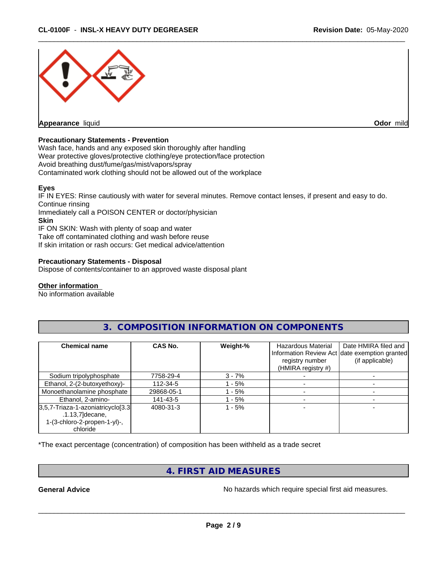

#### **Precautionary Statements - Prevention**

Wash face, hands and any exposed skin thoroughly after handling Wear protective gloves/protective clothing/eye protection/face protection Avoid breathing dust/fume/gas/mist/vapors/spray Contaminated work clothing should not be allowed out of the workplace

# **Eyes**

IF IN EYES: Rinse cautiously with water for several minutes. Remove contact lenses, if present and easy to do. Continue rinsing Immediately call a POISON CENTER or doctor/physician **Skin** IF ON SKIN: Wash with plenty of soap and water Take off contaminated clothing and wash before reuse If skin irritation or rash occurs: Get medical advice/attention

# **Precautionary Statements - Disposal**

Dispose of contents/container to an approved waste disposal plant

#### **Other information**

No information available

| <b>Chemical name</b>                                                                                                | CAS No.    | Weight-% | Hazardous Material<br>registry number<br>(HMIRA registry #) | Date HMIRA filed and<br>Information Review Act date exemption granted<br>(if applicable) |
|---------------------------------------------------------------------------------------------------------------------|------------|----------|-------------------------------------------------------------|------------------------------------------------------------------------------------------|
| Sodium tripolyphosphate                                                                                             | 7758-29-4  | $3 - 7%$ |                                                             |                                                                                          |
| Ethanol, 2-(2-butoxyethoxy)-                                                                                        | 112-34-5   | $-5%$    |                                                             |                                                                                          |
| Monoethanolamine phosphate                                                                                          | 29868-05-1 | - 5%     |                                                             |                                                                                          |
| Ethanol, 2-amino-                                                                                                   | 141-43-5   | $-5%$    |                                                             |                                                                                          |
| $3,5,7$ -Triaza-1-azoniatricyclo <sup>[3.3]</sup><br>$.1.13,7$ ]decane,<br>1-(3-chloro-2-propen-1-yl)-,<br>chloride | 4080-31-3  | $-5%$    |                                                             |                                                                                          |

# **3. COMPOSITION INFORMATION ON COMPONENTS**

\*The exact percentage (concentration) of composition has been withheld as a trade secret

# **4. FIRST AID MEASURES**

**General Advice** No hazards which require special first aid measures.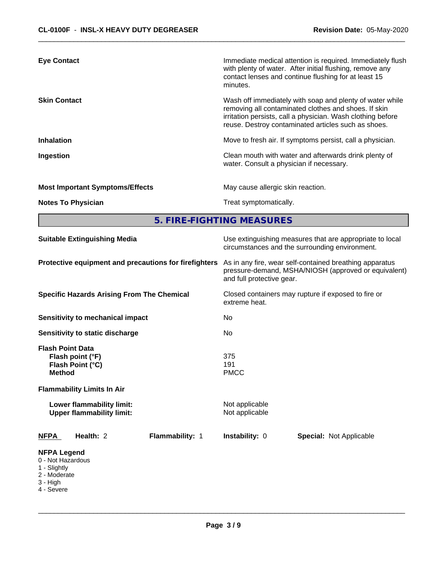| <b>Eye Contact</b>                     | Immediate medical attention is required. Immediately flush<br>with plenty of water. After initial flushing, remove any<br>contact lenses and continue flushing for at least 15                                                         |
|----------------------------------------|----------------------------------------------------------------------------------------------------------------------------------------------------------------------------------------------------------------------------------------|
|                                        | minutes.                                                                                                                                                                                                                               |
| <b>Skin Contact</b>                    | Wash off immediately with soap and plenty of water while<br>removing all contaminated clothes and shoes. If skin<br>irritation persists, call a physician. Wash clothing before<br>reuse. Destroy contaminated articles such as shoes. |
| <b>Inhalation</b>                      | Move to fresh air. If symptoms persist, call a physician.                                                                                                                                                                              |
| Ingestion                              | Clean mouth with water and afterwards drink plenty of<br>water. Consult a physician if necessary.                                                                                                                                      |
| <b>Most Important Symptoms/Effects</b> | May cause allergic skin reaction.                                                                                                                                                                                                      |
| <b>Notes To Physician</b>              | Treat symptomatically.                                                                                                                                                                                                                 |

**5. FIRE-FIGHTING MEASURES** 

| <b>Suitable Extinguishing Media</b>                                                                                   | Use extinguishing measures that are appropriate to local<br>circumstances and the surrounding environment.                                   |  |  |
|-----------------------------------------------------------------------------------------------------------------------|----------------------------------------------------------------------------------------------------------------------------------------------|--|--|
| Protective equipment and precautions for firefighters                                                                 | As in any fire, wear self-contained breathing apparatus<br>pressure-demand, MSHA/NIOSH (approved or equivalent)<br>and full protective gear. |  |  |
| <b>Specific Hazards Arising From The Chemical</b>                                                                     | Closed containers may rupture if exposed to fire or<br>extreme heat.                                                                         |  |  |
| Sensitivity to mechanical impact                                                                                      | No                                                                                                                                           |  |  |
| Sensitivity to static discharge                                                                                       | No.                                                                                                                                          |  |  |
| <b>Flash Point Data</b><br>Flash point (°F)<br>Flash Point (°C)<br><b>Method</b><br><b>Flammability Limits In Air</b> | 375<br>191<br><b>PMCC</b>                                                                                                                    |  |  |
| Lower flammability limit:<br><b>Upper flammability limit:</b>                                                         | Not applicable<br>Not applicable                                                                                                             |  |  |
| Health: 2<br>Flammability: 1<br><b>NFPA</b>                                                                           | <b>Instability: 0</b><br><b>Special: Not Applicable</b>                                                                                      |  |  |
| <b>NFPA Legend</b><br>0 - Not Hazardous<br>1 - Slightly<br>2 - Moderate<br>3 - High<br>4 - Severe                     |                                                                                                                                              |  |  |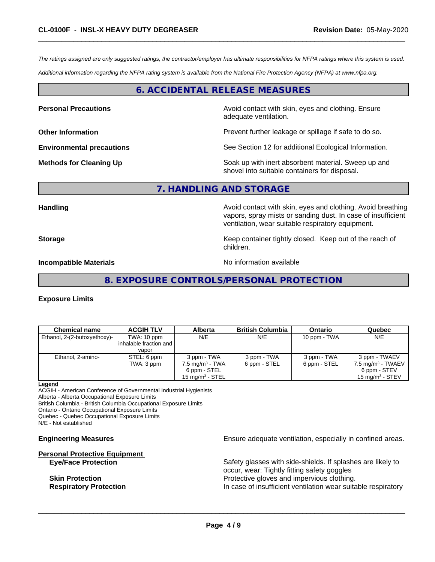*The ratings assigned are only suggested ratings, the contractor/employer has ultimate responsibilities for NFPA ratings where this system is used.*

*Additional information regarding the NFPA rating system is available from the National Fire Protection Agency (NFPA) at www.nfpa.org.*

# **6. ACCIDENTAL RELEASE MEASURES**

**Personal Precautions Avoid contact with skin, eyes and clothing. Ensure** Avoid contact with skin, eyes and clothing. Ensure adequate ventilation.

**Other Information Discription Prevent further leakage or spillage if safe to do so.** 

**Environmental precautions** See Section 12 for additional Ecological Information.

**Methods for Cleaning Up Example 20 All 20 All 20 All 20 Soak** up with inert absorbent material. Sweep up and shovel into suitable containers for disposal.

# **7. HANDLING AND STORAGE**

**Handling Handling Avoid contact with skin, eyes and clothing. Avoid breathing Handling Avoid breathing Avoid breathing** vapors, spray mists or sanding dust. In case of insufficient ventilation, wear suitable respiratory equipment.

**Storage Keep container tightly closed. Keep out of the reach of Keep** container tightly closed. Keep out of the reach of children.

**Incompatible Materials** Nointernal Allemation available

**8. EXPOSURE CONTROLS/PERSONAL PROTECTION**

#### **Exposure Limits**

| <b>Chemical name</b>         | <b>ACGIH TLV</b>         | Alberta                    | <b>British Columbia</b> | <b>Ontario</b> | Quebec                        |
|------------------------------|--------------------------|----------------------------|-------------------------|----------------|-------------------------------|
| Ethanol, 2-(2-butoxyethoxy)- | TWA: 10 ppm              | N/E                        | N/E                     | 10 ppm - TWA   | N/E                           |
|                              | inhalable fraction and I |                            |                         |                |                               |
|                              | vapor                    |                            |                         |                |                               |
| Ethanol, 2-amino-            | STEL: 6 ppm              | 3 ppm - TWA                | 3 ppm - TWA             | 3 ppm - TWA    | 3 ppm - TWAEV                 |
|                              | TWA: 3 ppm               | $7.5 \text{ mg/m}^3$ - TWA | 6 ppm - STEL            | 6 ppm - STEL   | 7.5 mg/m <sup>3</sup> - TWAEV |
|                              |                          | 6 ppm - STEL               |                         |                | 6 ppm - STEV                  |
|                              |                          | $15 \text{ mg/m}^3$ - STEL |                         |                | 15 mg/m $3 -$ STEV            |

#### **Legend**

ACGIH - American Conference of Governmental Industrial Hygienists Alberta - Alberta Occupational Exposure Limits British Columbia - British Columbia Occupational Exposure Limits

Ontario - Ontario Occupational Exposure Limits

Quebec - Quebec Occupational Exposure Limits

N/E - Not established

# **Personal Protective Equipment**

**Engineering Measures Ensure** Ensure adequate ventilation, especially in confined areas.

**Eye/Face Protection** Safety glasses with side-shields. If splashes are likely to occur, wear: Tightly fitting safety goggles **Skin Protection Protective gloves and impervious clothing. Respiratory Protection In case of insufficient ventilation wear suitable respiratory**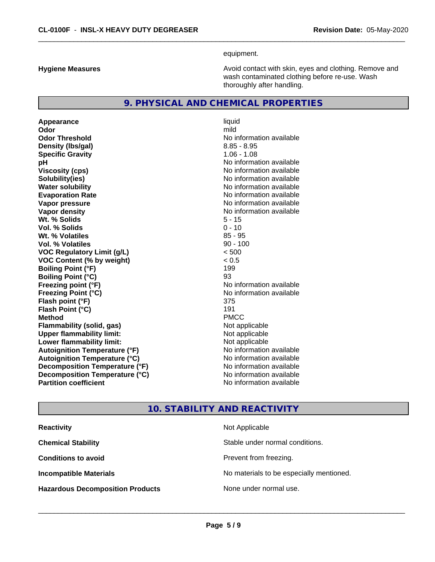equipment.

**Hygiene Measures Avoid contact with skin, eyes and clothing. Remove and Avoid contact with skin, eyes and clothing. Remove and Avoid contact with skin, eyes and clothing. Remove and** wash contaminated clothing before re-use. Wash thoroughly after handling.

# **9. PHYSICAL AND CHEMICAL PROPERTIES**

**Appearance** liquid and **a** liquid and **a** liquid density of the liquid series of the liquid series of the liquid series of the liquid series of the liquid series of the liquid series of the liquid series of the liquid ser **Odor** mild **Odor Threshold No information available** No information available **Density (Ibs/gal)** 8.85 - 8.95 **Specific Gravity** 1.06 - 1.08 **pH** No information available **Viscosity (cps)** No information available **Solubility(ies)** No information available **Evaporation Rate No information available No information available Vapor pressure** No information available **Vapor density No information available No** information available **Wt. % Solids** 5 - 15 **Vol. % Solids Wt. % Volatiles** 85 - 95 **Vol. % Volatiles** 90 - 100 **VOC Regulatory Limit (g/L)** < 500 **VOC Content (% by weight)** < 0.5 **Boiling Point (°F)** 199 **Boiling Point (°C)** 93 **Freezing point (°F)**<br> **Freezing Point (°C)**<br> **Freezing Point (°C)**<br> **CO Exercise 2011**<br> **No information available Flash point (°F)** 375 **Flash Point (°C)** 191 **Method** PMCC **Flammability (solid, gas)** Not applicable **Upper flammability limit:** Not applicable **Lower flammability limit:** Not applicable **Autoignition Temperature (°F)** No information available **Autoignition Temperature (°C)** No information available **Decomposition Temperature (°F)** No information available **Decomposition Temperature (°C)**<br> **Partition coefficient**<br> **Partition coefficient**<br> **No** information available

**No information available Freezing Point (°C)** No information available **No information available** 

# **10. STABILITY AND REACTIVITY**

| <b>Reactivity</b>                       | Not Applicable                           |
|-----------------------------------------|------------------------------------------|
| <b>Chemical Stability</b>               | Stable under normal conditions.          |
| <b>Conditions to avoid</b>              | Prevent from freezing.                   |
| <b>Incompatible Materials</b>           | No materials to be especially mentioned. |
| <b>Hazardous Decomposition Products</b> | None under normal use.                   |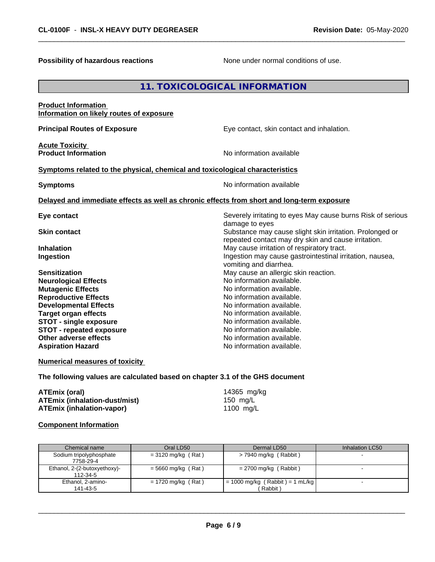**Possibility of hazardous reactions** None under normal conditions of use.

# **11. TOXICOLOGICAL INFORMATION**

| <b>Product Information</b>                                                                 |                                                                                                                 |
|--------------------------------------------------------------------------------------------|-----------------------------------------------------------------------------------------------------------------|
| Information on likely routes of exposure                                                   |                                                                                                                 |
| <b>Principal Routes of Exposure</b>                                                        | Eye contact, skin contact and inhalation.                                                                       |
| <b>Acute Toxicity</b>                                                                      |                                                                                                                 |
| <b>Product Information</b>                                                                 | No information available                                                                                        |
| Symptoms related to the physical, chemical and toxicological characteristics               |                                                                                                                 |
| <b>Symptoms</b>                                                                            | No information available                                                                                        |
| Delayed and immediate effects as well as chronic effects from short and long-term exposure |                                                                                                                 |
| Eye contact                                                                                | Severely irritating to eyes May cause burns Risk of serious<br>damage to eyes                                   |
| <b>Skin contact</b>                                                                        | Substance may cause slight skin irritation. Prolonged or<br>repeated contact may dry skin and cause irritation. |
| <b>Inhalation</b>                                                                          | May cause irritation of respiratory tract.                                                                      |
| Ingestion                                                                                  | Ingestion may cause gastrointestinal irritation, nausea,<br>vomiting and diarrhea.                              |
| <b>Sensitization</b>                                                                       | May cause an allergic skin reaction.                                                                            |
| <b>Neurological Effects</b>                                                                | No information available.                                                                                       |
| <b>Mutagenic Effects</b>                                                                   | No information available.                                                                                       |
| <b>Reproductive Effects</b>                                                                | No information available.                                                                                       |
| <b>Developmental Effects</b>                                                               | No information available.                                                                                       |
| <b>Target organ effects</b>                                                                | No information available.                                                                                       |
| <b>STOT - single exposure</b>                                                              | No information available.                                                                                       |
| <b>STOT - repeated exposure</b>                                                            | No information available.                                                                                       |
| Other adverse effects                                                                      | No information available.                                                                                       |
| <b>Aspiration Hazard</b>                                                                   | No information available.                                                                                       |
| <b>Numerical measures of toxicity</b>                                                      |                                                                                                                 |

**The following values are calculated based on chapter 3.1 of the GHS document**

| ATEmix (oral)                        | 14365 mg/kg |
|--------------------------------------|-------------|
| <b>ATEmix (inhalation-dust/mist)</b> | 150 mg/L    |
| <b>ATEmix (inhalation-vapor)</b>     | 1100 mg/L   |

# **Component Information**

| Chemical name                            | Oral LD50            | Dermal LD50                                          | Inhalation LC50 |
|------------------------------------------|----------------------|------------------------------------------------------|-----------------|
| Sodium tripolyphosphate<br>7758-29-4     | $=$ 3120 mg/kg (Rat) | $>$ 7940 mg/kg (Rabbit)                              |                 |
| Ethanol, 2-(2-butoxyethoxy)-<br>112-34-5 | $=$ 5660 mg/kg (Rat) | $= 2700$ mg/kg (Rabbit)                              |                 |
| Ethanol, 2-amino-<br>141-43-5            | $= 1720$ mg/kg (Rat) | $= 1000 \text{ mg/kg}$ (Rabbit) = 1 mL/kg<br>Rabbit) |                 |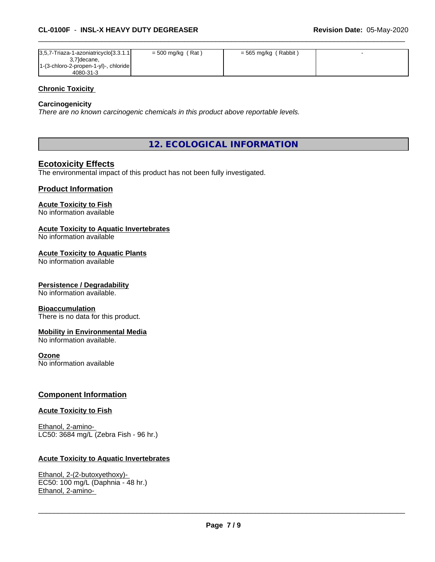| $ 3,5,7$ -Triaza-1-azoniatricyclo[3.3.1.1]             | $=$ 500 mg/kg (Rat) | $=$ 565 mg/kg (Rabbit) |  |
|--------------------------------------------------------|---------------------|------------------------|--|
| 3,7 decane,<br>[1-(3-chloro-2-propen-1-yl)-, chloride] |                     |                        |  |
| 4080-31-3                                              |                     |                        |  |

### **Chronic Toxicity**

### **Carcinogenicity**

*There are no known carcinogenic chemicals in this product above reportable levels.*

**12. ECOLOGICAL INFORMATION**

# **Ecotoxicity Effects**

The environmental impact of this product has not been fully investigated.

# **Product Information**

# **Acute Toxicity to Fish**

No information available

## **Acute Toxicity to Aquatic Invertebrates**

No information available

#### **Acute Toxicity to Aquatic Plants**

No information available

#### **Persistence / Degradability**

No information available.

#### **Bioaccumulation**

There is no data for this product.

# **Mobility in Environmental Media**

No information available.

#### **Ozone**

No information available

# **Component Information**

#### **Acute Toxicity to Fish**

Ethanol, 2-amino- LC50: 3684 mg/L (Zebra Fish - 96 hr.)

# **Acute Toxicity to Aquatic Invertebrates**

Ethanol, 2-(2-butoxyethoxy)- EC50: 100 mg/L (Daphnia - 48 hr.) Ethanol, 2-amino-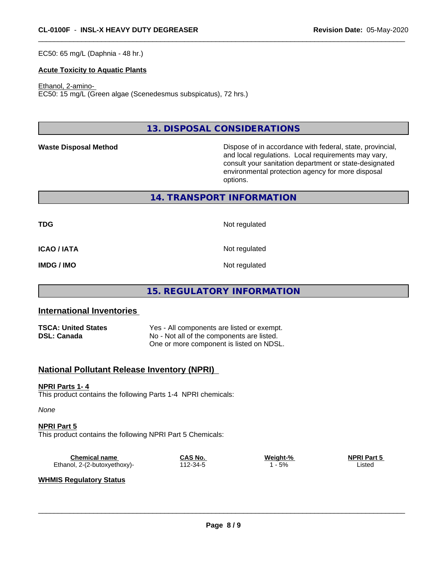EC50: 65 mg/L (Daphnia - 48 hr.)

### **Acute Toxicity to Aquatic Plants**

#### Ethanol, 2-amino-

EC50: 15 mg/L (Green algae (Scenedesmus subspicatus), 72 hrs.)

**13. DISPOSAL CONSIDERATIONS**

**Waste Disposal Method Dispose of in accordance with federal, state, provincial,** and local regulations. Local requirements may vary, consult your sanitation department or state-designated environmental protection agency for more disposal options.

# **14. TRANSPORT INFORMATION**

**TDG** Not regulated

**ICAO / IATA** Not regulated

**IMDG / IMO** Not regulated

# **15. REGULATORY INFORMATION**

# **International Inventories**

| <b>TSCA: United States</b> | Yes - All components are listed or exempt. |
|----------------------------|--------------------------------------------|
| <b>DSL: Canada</b>         | No - Not all of the components are listed. |
|                            | One or more component is listed on NDSL.   |

# **National Pollutant Release Inventory (NPRI)**

#### **NPRI Parts 1- 4**

This product contains the following Parts 1-4 NPRI chemicals:

*None*

#### **NPRI Part 5**

This product contains the following NPRI Part 5 Chemicals:

| Chemical name                | <b>CAS No.</b> | Weight-% | <b>NPRI Part 5</b> |
|------------------------------|----------------|----------|--------------------|
| Ethanol, 2-(2-butoxyethoxy)- | 112-34-5       | 5%       | _isted             |

### **WHMIS Regulatory Status**